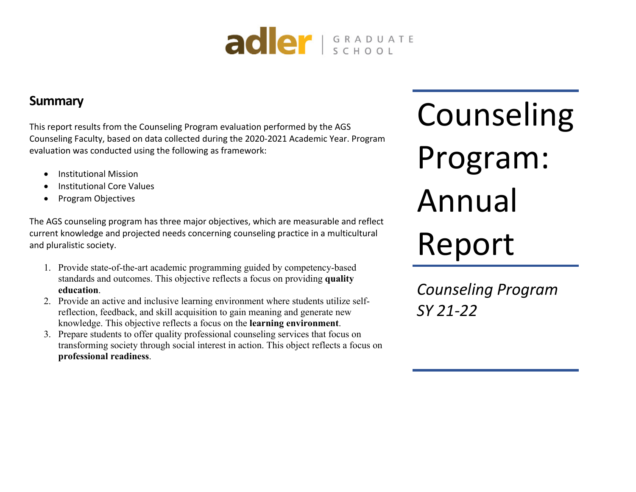

# **Summary**

This report results from the Counseling Program evaluation performed by the AGS Counseling Faculty, based on data collected during the 2020-2021 Academic Year. Program evaluation was conducted using the following as framework:

- Institutional Mission
- Institutional Core Values
- Program Objectives

The AGS counseling program has three major objectives, which are measurable and reflect current knowledge and projected needs concerning counseling practice in a multicultural and pluralistic society.

- 1. Provide state-of-the-art academic programming guided by competency-based standards and outcomes. This objective reflects a focus on providing **quality education**.
- 2. Provide an active and inclusive learning environment where students utilize selfreflection, feedback, and skill acquisition to gain meaning and generate new knowledge. This objective reflects a focus on the **learning environment**.
- 3. Prepare students to offer quality professional counseling services that focus on transforming society through social interest in action. This object reflects a focus on **professional readiness**.

Counseling Program: Annual Report

*Counseling Program SY 21-22*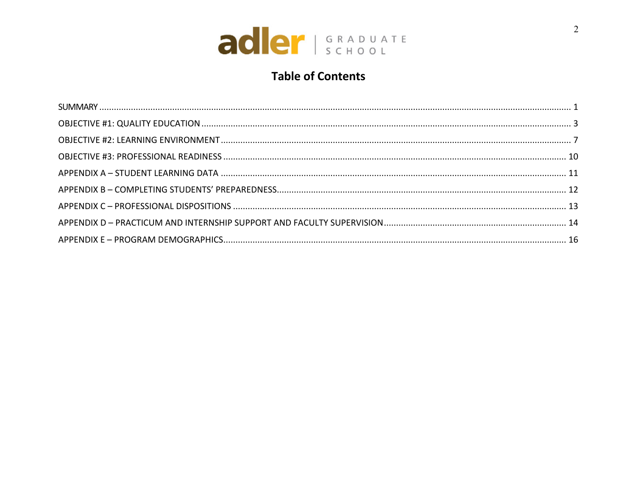

# **Table of Contents**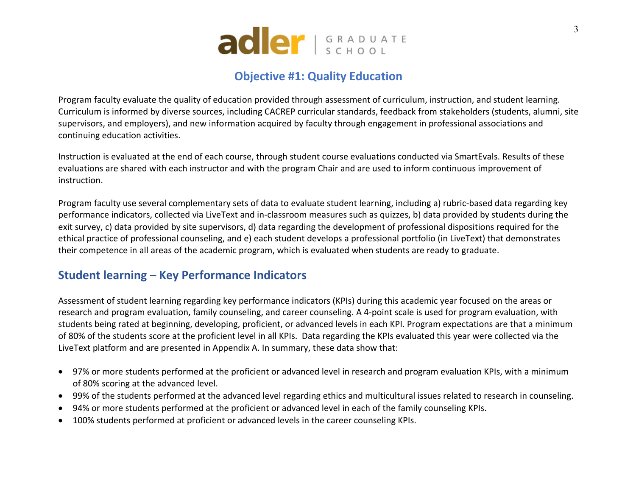

# **Objective #1: Quality Education**

Program faculty evaluate the quality of education provided through assessment of curriculum, instruction, and student learning. Curriculum is informed by diverse sources, including CACREP curricular standards, feedback from stakeholders (students, alumni, site supervisors, and employers), and new information acquired by faculty through engagement in professional associations and continuing education activities.

Instruction is evaluated at the end of each course, through student course evaluations conducted via SmartEvals. Results of these evaluations are shared with each instructor and with the program Chair and are used to inform continuous improvement of instruction.

Program faculty use several complementary sets of data to evaluate student learning, including a) rubric-based data regarding key performance indicators, collected via LiveText and in-classroom measures such as quizzes, b) data provided by students during the exit survey, c) data provided by site supervisors, d) data regarding the development of professional dispositions required for the ethical practice of professional counseling, and e) each student develops a professional portfolio (in LiveText) that demonstrates their competence in all areas of the academic program, which is evaluated when students are ready to graduate.

### **Student learning – Key Performance Indicators**

Assessment of student learning regarding key performance indicators (KPIs) during this academic year focused on the areas or research and program evaluation, family counseling, and career counseling. A 4-point scale is used for program evaluation, with students being rated at beginning, developing, proficient, or advanced levels in each KPI. Program expectations are that a minimum of 80% of the students score at the proficient level in all KPIs. Data regarding the KPIs evaluated this year were collected via the LiveText platform and are presented in Appendix A. In summary, these data show that:

- 97% or more students performed at the proficient or advanced level in research and program evaluation KPIs, with a minimum of 80% scoring at the advanced level.
- 99% of the students performed at the advanced level regarding ethics and multicultural issues related to research in counseling.
- 94% or more students performed at the proficient or advanced level in each of the family counseling KPIs.
- 100% students performed at proficient or advanced levels in the career counseling KPIs.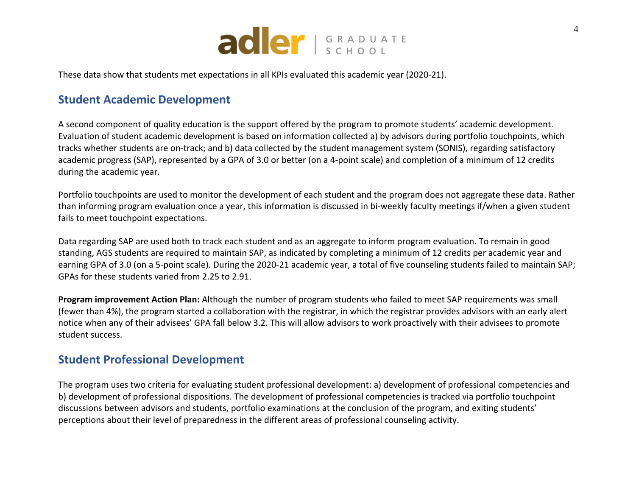

These data show that students met expectations in all KPIs evaluated this academic year (2020-21).

### **Student Academic Development**

A second component of quality education is the support offered by the program to promote students' academic development. Evaluation of student academic development is based on information collected a) by advisors during portfolio touchpoints, which tracks whether students are on-track; and b) data collected by the student management system (SONIS), regarding satisfactory academic progress (SAP), represented by a GPA of 3.0 or better (on a 4-point scale) and completion of a minimum of 12 credits during the academic year.

Portfolio touchpoints are used to monitor the development of each student and the program does not aggregate these data. Rather than informing program evaluation once a year, this information is discussed in bi-weekly faculty meetings if/when a given student fails to meet touchpoint expectations.

Data regarding SAP are used both to track each student and as an aggregate to inform program evaluation. To remain in good standing, AGS students are required to maintain SAP, as indicated by completing a minimum of 12 credits per academic year and earning GPA of 3.0 (on a 5-point scale). During the 2020-21 academic year, a total of five counseling students failed to maintain SAP; GPAs for these students varied from 2.25 to 2.91.

**Program improvement Action Plan:** Although the number of program students who failed to meet SAP requirements was small (fewer than 4%), the program started a collaboration with the registrar, in which the registrar provides advisors with an early alert notice when any of their advisees' GPA fall below 3.2. This will allow advisors to work proactively with their advisees to promote student success.

### **Student Professional Development**

The program uses two criteria for evaluating student professional development: a) development of professional competencies and b) development of professional dispositions. The development of professional competencies is tracked via portfolio touchpoint discussions between advisors and students, portfolio examinations at the conclusion of the program, and exiting students' perceptions about their level of preparedness in the different areas of professional counseling activity.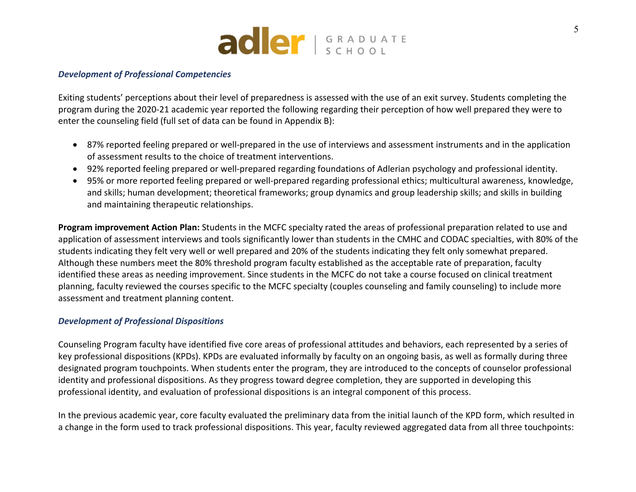

#### *Development of Professional Competencies*

Exiting students' perceptions about their level of preparedness is assessed with the use of an exit survey. Students completing the program during the 2020-21 academic year reported the following regarding their perception of how well prepared they were to enter the counseling field (full set of data can be found in Appendix B):

- 87% reported feeling prepared or well-prepared in the use of interviews and assessment instruments and in the application of assessment results to the choice of treatment interventions.
- 92% reported feeling prepared or well-prepared regarding foundations of Adlerian psychology and professional identity.
- 95% or more reported feeling prepared or well-prepared regarding professional ethics; multicultural awareness, knowledge, and skills; human development; theoretical frameworks; group dynamics and group leadership skills; and skills in building and maintaining therapeutic relationships.

**Program improvement Action Plan:** Students in the MCFC specialty rated the areas of professional preparation related to use and application of assessment interviews and tools significantly lower than students in the CMHC and CODAC specialties, with 80% of the students indicating they felt very well or well prepared and 20% of the students indicating they felt only somewhat prepared. Although these numbers meet the 80% threshold program faculty established as the acceptable rate of preparation, faculty identified these areas as needing improvement. Since students in the MCFC do not take a course focused on clinical treatment planning, faculty reviewed the courses specific to the MCFC specialty (couples counseling and family counseling) to include more assessment and treatment planning content.

#### *Development of Professional Dispositions*

Counseling Program faculty have identified five core areas of professional attitudes and behaviors, each represented by a series of key professional dispositions (KPDs). KPDs are evaluated informally by faculty on an ongoing basis, as well as formally during three designated program touchpoints. When students enter the program, they are introduced to the concepts of counselor professional identity and professional dispositions. As they progress toward degree completion, they are supported in developing this professional identity, and evaluation of professional dispositions is an integral component of this process.

In the previous academic year, core faculty evaluated the preliminary data from the initial launch of the KPD form, which resulted in a change in the form used to track professional dispositions. This year, faculty reviewed aggregated data from all three touchpoints: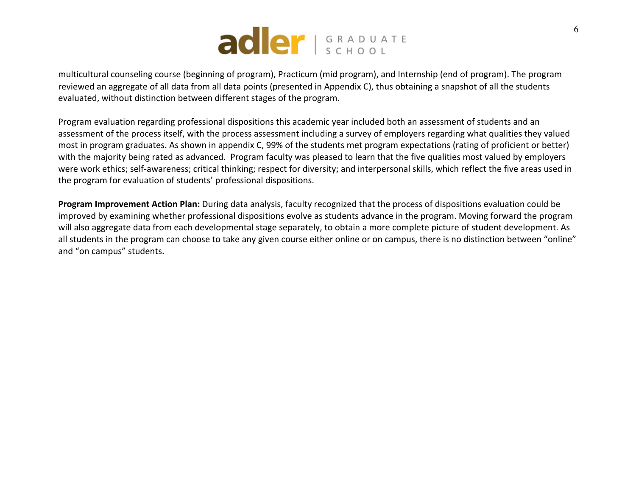

multicultural counseling course (beginning of program), Practicum (mid program), and Internship (end of program). The program reviewed an aggregate of all data from all data points (presented in Appendix C), thus obtaining a snapshot of all the students evaluated, without distinction between different stages of the program.

Program evaluation regarding professional dispositions this academic year included both an assessment of students and an assessment of the process itself, with the process assessment including a survey of employers regarding what qualities they valued most in program graduates. As shown in appendix C, 99% of the students met program expectations (rating of proficient or better) with the majority being rated as advanced. Program faculty was pleased to learn that the five qualities most valued by employers were work ethics; self-awareness; critical thinking; respect for diversity; and interpersonal skills, which reflect the five areas used in the program for evaluation of students' professional dispositions.

**Program Improvement Action Plan:** During data analysis, faculty recognized that the process of dispositions evaluation could be improved by examining whether professional dispositions evolve as students advance in the program. Moving forward the program will also aggregate data from each developmental stage separately, to obtain a more complete picture of student development. As all students in the program can choose to take any given course either online or on campus, there is no distinction between "online" and "on campus" students.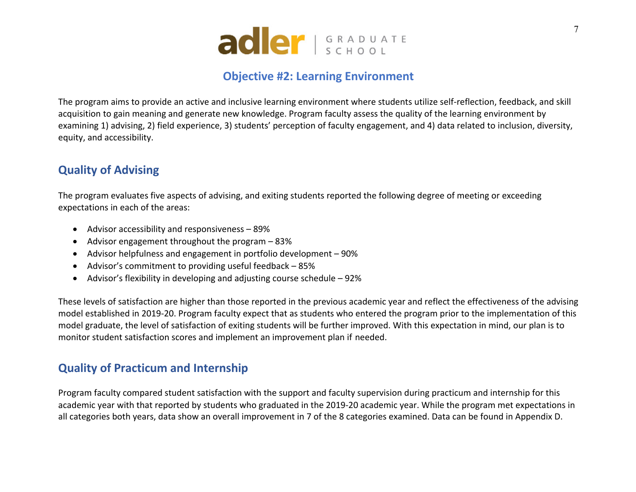

## **Objective #2: Learning Environment**

The program aims to provide an active and inclusive learning environment where students utilize self-reflection, feedback, and skill acquisition to gain meaning and generate new knowledge. Program faculty assess the quality of the learning environment by examining 1) advising, 2) field experience, 3) students' perception of faculty engagement, and 4) data related to inclusion, diversity, equity, and accessibility.

# **Quality of Advising**

The program evaluates five aspects of advising, and exiting students reported the following degree of meeting or exceeding expectations in each of the areas:

- Advisor accessibility and responsiveness 89%
- Advisor engagement throughout the program 83%
- Advisor helpfulness and engagement in portfolio development 90%
- Advisor's commitment to providing useful feedback 85%
- Advisor's flexibility in developing and adjusting course schedule 92%

These levels of satisfaction are higher than those reported in the previous academic year and reflect the effectiveness of the advising model established in 2019-20. Program faculty expect that as students who entered the program prior to the implementation of this model graduate, the level of satisfaction of exiting students will be further improved. With this expectation in mind, our plan is to monitor student satisfaction scores and implement an improvement plan if needed.

### **Quality of Practicum and Internship**

Program faculty compared student satisfaction with the support and faculty supervision during practicum and internship for this academic year with that reported by students who graduated in the 2019-20 academic year. While the program met expectations in all categories both years, data show an overall improvement in 7 of the 8 categories examined. Data can be found in Appendix D.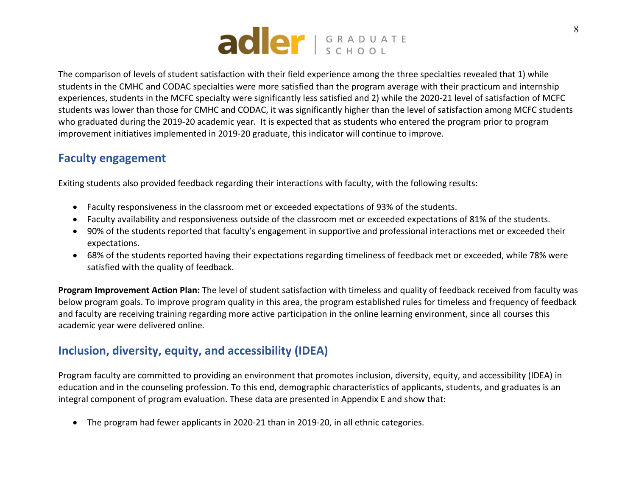

The comparison of levels of student satisfaction with their field experience among the three specialties revealed that 1) while students in the CMHC and CODAC specialties were more satisfied than the program average with their practicum and internship experiences, students in the MCFC specialty were significantly less satisfied and 2) while the 2020-21 level of satisfaction of MCFC students was lower than those for CMHC and CODAC, it was significantly higher than the level of satisfaction among MCFC students who graduated during the 2019-20 academic year. It is expected that as students who entered the program prior to program improvement initiatives implemented in 2019-20 graduate, this indicator will continue to improve.

### **Faculty engagement**

Exiting students also provided feedback regarding their interactions with faculty, with the following results:

- Faculty responsiveness in the classroom met or exceeded expectations of 93% of the students.
- Faculty availability and responsiveness outside of the classroom met or exceeded expectations of 81% of the students.
- 90% of the students reported that faculty's engagement in supportive and professional interactions met or exceeded their expectations.
- 68% of the students reported having their expectations regarding timeliness of feedback met or exceeded, while 78% were satisfied with the quality of feedback.

**Program Improvement Action Plan:** The level of student satisfaction with timeless and quality of feedback received from faculty was below program goals. To improve program quality in this area, the program established rules for timeless and frequency of feedback and faculty are receiving training regarding more active participation in the online learning environment, since all courses this academic year were delivered online.

# **Inclusion, diversity, equity, and accessibility (IDEA)**

Program faculty are committed to providing an environment that promotes inclusion, diversity, equity, and accessibility (IDEA) in education and in the counseling profession. To this end, demographic characteristics of applicants, students, and graduates is an integral component of program evaluation. These data are presented in Appendix E and show that:

• The program had fewer applicants in 2020-21 than in 2019-20, in all ethnic categories.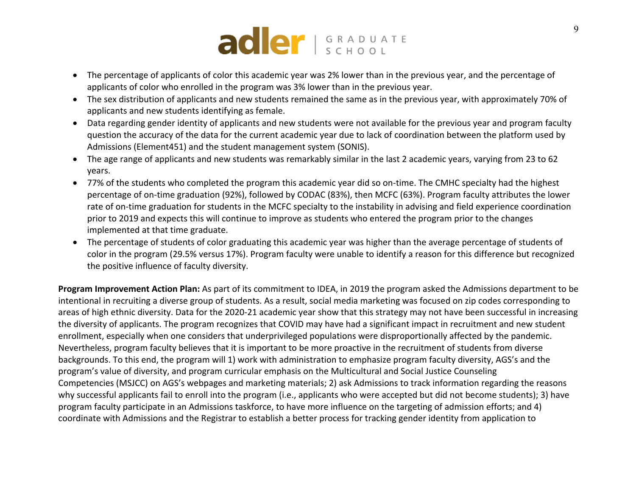

- The percentage of applicants of color this academic year was 2% lower than in the previous year, and the percentage of applicants of color who enrolled in the program was 3% lower than in the previous year.
- The sex distribution of applicants and new students remained the same as in the previous year, with approximately 70% of applicants and new students identifying as female.
- Data regarding gender identity of applicants and new students were not available for the previous year and program faculty question the accuracy of the data for the current academic year due to lack of coordination between the platform used by Admissions (Element451) and the student management system (SONIS).
- The age range of applicants and new students was remarkably similar in the last 2 academic years, varying from 23 to 62 years.
- 77% of the students who completed the program this academic year did so on-time. The CMHC specialty had the highest percentage of on-time graduation (92%), followed by CODAC (83%), then MCFC (63%). Program faculty attributes the lower rate of on-time graduation for students in the MCFC specialty to the instability in advising and field experience coordination prior to 2019 and expects this will continue to improve as students who entered the program prior to the changes implemented at that time graduate.
- The percentage of students of color graduating this academic year was higher than the average percentage of students of color in the program (29.5% versus 17%). Program faculty were unable to identify a reason for this difference but recognized the positive influence of faculty diversity.

**Program Improvement Action Plan:** As part of its commitment to IDEA, in 2019 the program asked the Admissions department to be intentional in recruiting a diverse group of students. As a result, social media marketing was focused on zip codes corresponding to areas of high ethnic diversity. Data for the 2020-21 academic year show that this strategy may not have been successful in increasing the diversity of applicants. The program recognizes that COVID may have had a significant impact in recruitment and new student enrollment, especially when one considers that underprivileged populations were disproportionally affected by the pandemic. Nevertheless, program faculty believes that it is important to be more proactive in the recruitment of students from diverse backgrounds. To this end, the program will 1) work with administration to emphasize program faculty diversity, AGS's and the program's value of diversity, and program curricular emphasis on the Multicultural and Social Justice Counseling Competencies (MSJCC) on AGS's webpages and marketing materials; 2) ask Admissions to track information regarding the reasons why successful applicants fail to enroll into the program (i.e., applicants who were accepted but did not become students); 3) have program faculty participate in an Admissions taskforce, to have more influence on the targeting of admission efforts; and 4) coordinate with Admissions and the Registrar to establish a better process for tracking gender identity from application to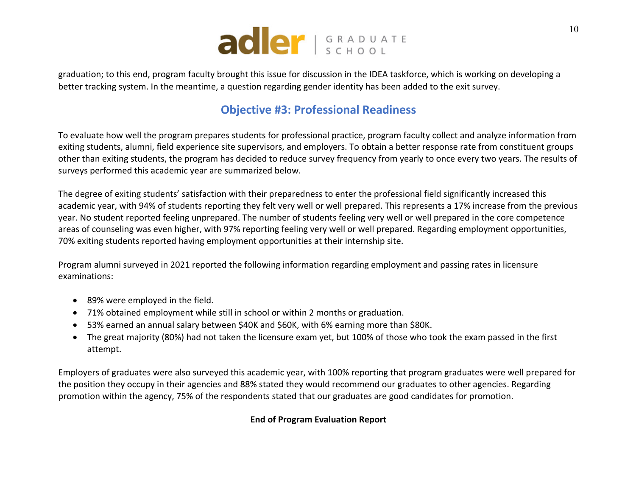

graduation; to this end, program faculty brought this issue for discussion in the IDEA taskforce, which is working on developing a better tracking system. In the meantime, a question regarding gender identity has been added to the exit survey.

## **Objective #3: Professional Readiness**

To evaluate how well the program prepares students for professional practice, program faculty collect and analyze information from exiting students, alumni, field experience site supervisors, and employers. To obtain a better response rate from constituent groups other than exiting students, the program has decided to reduce survey frequency from yearly to once every two years. The results of surveys performed this academic year are summarized below.

The degree of exiting students' satisfaction with their preparedness to enter the professional field significantly increased this academic year, with 94% of students reporting they felt very well or well prepared. This represents a 17% increase from the previous year. No student reported feeling unprepared. The number of students feeling very well or well prepared in the core competence areas of counseling was even higher, with 97% reporting feeling very well or well prepared. Regarding employment opportunities, 70% exiting students reported having employment opportunities at their internship site.

Program alumni surveyed in 2021 reported the following information regarding employment and passing rates in licensure examinations:

- 89% were employed in the field.
- 71% obtained employment while still in school or within 2 months or graduation.
- 53% earned an annual salary between \$40K and \$60K, with 6% earning more than \$80K.
- The great majority (80%) had not taken the licensure exam yet, but 100% of those who took the exam passed in the first attempt.

Employers of graduates were also surveyed this academic year, with 100% reporting that program graduates were well prepared for the position they occupy in their agencies and 88% stated they would recommend our graduates to other agencies. Regarding promotion within the agency, 75% of the respondents stated that our graduates are good candidates for promotion.

### **End of Program Evaluation Report**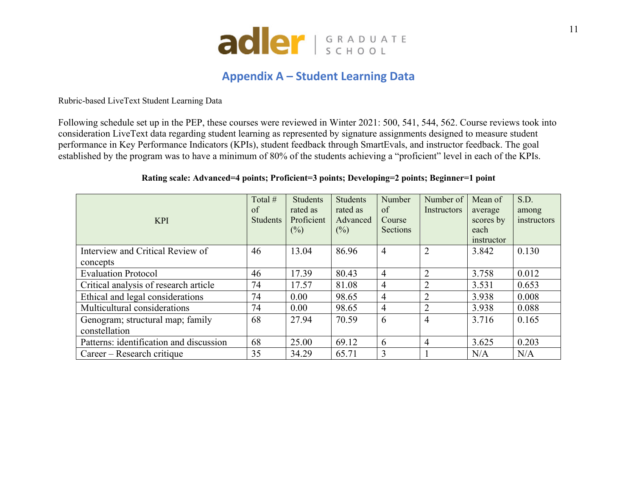

### **Appendix A – Student Learning Data**

Rubric-based LiveText Student Learning Data

Following schedule set up in the PEP, these courses were reviewed in Winter 2021: 500, 541, 544, 562. Course reviews took into consideration LiveText data regarding student learning as represented by signature assignments designed to measure student performance in Key Performance Indicators (KPIs), student feedback through SmartEvals, and instructor feedback. The goal established by the program was to have a minimum of 80% of the students achieving a "proficient" level in each of the KPIs.

#### **Rating scale: Advanced=4 points; Proficient=3 points; Developing=2 points; Beginner=1 point**

|                                         | Total #         | <b>Students</b> | <b>Students</b> | Number         | Number of                 | Mean of    | S.D.        |
|-----------------------------------------|-----------------|-----------------|-----------------|----------------|---------------------------|------------|-------------|
|                                         | of              | rated as        | rated as        | of             | <i><u>Instructors</u></i> | average    | among       |
| <b>KPI</b>                              | <b>Students</b> | Proficient      | Advanced        | Course         |                           | scores by  | instructors |
|                                         |                 | $(\%)$          | (%)             | Sections       |                           | each       |             |
|                                         |                 |                 |                 |                |                           | instructor |             |
| Interview and Critical Review of        | 46              | 13.04           | 86.96           | $\overline{4}$ | $\overline{2}$            | 3.842      | 0.130       |
| concepts                                |                 |                 |                 |                |                           |            |             |
| <b>Evaluation Protocol</b>              | 46              | 17.39           | 80.43           | $\overline{4}$ | $\overline{2}$            | 3.758      | 0.012       |
| Critical analysis of research article   | 74              | 17.57           | 81.08           | $\overline{4}$ | 2                         | 3.531      | 0.653       |
| Ethical and legal considerations        | 74              | 0.00            | 98.65           | $\overline{4}$ | $\overline{2}$            | 3.938      | 0.008       |
| Multicultural considerations            | 74              | 0.00            | 98.65           | $\overline{4}$ | $\overline{2}$            | 3.938      | 0.088       |
| Genogram; structural map; family        | 68              | 27.94           | 70.59           | 6              | $\overline{4}$            | 3.716      | 0.165       |
| constellation                           |                 |                 |                 |                |                           |            |             |
| Patterns: identification and discussion | 68              | 25.00           | 69.12           | 6              | 4                         | 3.625      | 0.203       |
| Career – Research critique              | 35              | 34.29           | 65.71           | 3              |                           | N/A        | N/A         |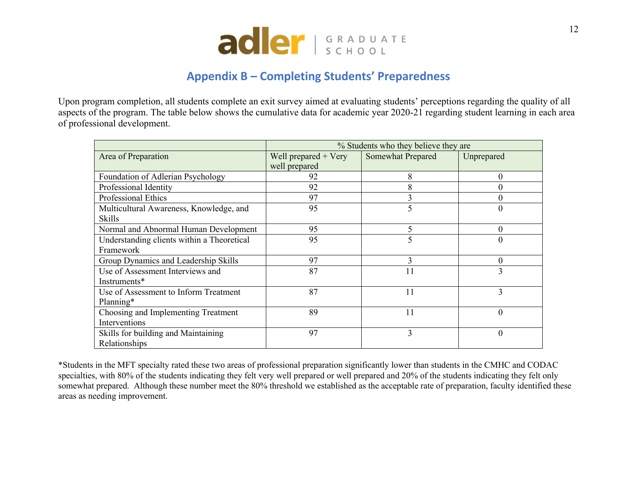

# **Appendix B – Completing Students' Preparedness**

Upon program completion, all students complete an exit survey aimed at evaluating students' perceptions regarding the quality of all aspects of the program. The table below shows the cumulative data for academic year 2020-21 regarding student learning in each area of professional development.

|                                            |                        | % Students who they believe they are |            |
|--------------------------------------------|------------------------|--------------------------------------|------------|
| Area of Preparation                        | Well prepared $+$ Very | Somewhat Prepared                    | Unprepared |
|                                            | well prepared          |                                      |            |
| Foundation of Adlerian Psychology          | 92                     | 8                                    | $\Omega$   |
| Professional Identity                      | 92                     | 8                                    |            |
| Professional Ethics                        | 97                     | 3                                    |            |
| Multicultural Awareness, Knowledge, and    | 95                     | 5                                    | $\Omega$   |
| <b>Skills</b>                              |                        |                                      |            |
| Normal and Abnormal Human Development      | 95                     | 5                                    | $\theta$   |
| Understanding clients within a Theoretical | 95                     | 5                                    | 0          |
| Framework                                  |                        |                                      |            |
| Group Dynamics and Leadership Skills       | 97                     | 3                                    | $\Omega$   |
| Use of Assessment Interviews and           | 87                     | 11                                   | 3          |
| Instruments*                               |                        |                                      |            |
| Use of Assessment to Inform Treatment      | 87                     | 11                                   | 3          |
| Planning*                                  |                        |                                      |            |
| Choosing and Implementing Treatment        | 89                     | 11                                   | $\Omega$   |
| Interventions                              |                        |                                      |            |
| Skills for building and Maintaining        | 97                     | 3                                    | $\theta$   |
| Relationships                              |                        |                                      |            |

\*Students in the MFT specialty rated these two areas of professional preparation significantly lower than students in the CMHC and CODAC specialties, with 80% of the students indicating they felt very well prepared or well prepared and 20% of the students indicating they felt only somewhat prepared. Although these number meet the 80% threshold we established as the acceptable rate of preparation, faculty identified these areas as needing improvement.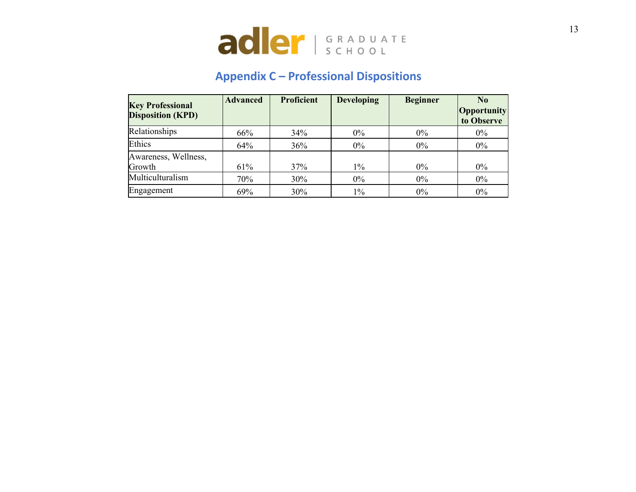

# **Appendix C – Professional Dispositions**

| <b>Key Professional</b><br><b>Disposition (KPD)</b> | <b>Advanced</b> | <b>Proficient</b> | <b>Developing</b> | <b>Beginner</b> | $\bf N_0$<br><b>Opportunity</b><br>to Observe |
|-----------------------------------------------------|-----------------|-------------------|-------------------|-----------------|-----------------------------------------------|
| Relationships                                       | 66%             | 34%               | $0\%$             | $0\%$           | $0\%$                                         |
| Ethics                                              | 64%             | 36%               | $0\%$             | $0\%$           | $0\%$                                         |
| Awareness, Wellness,<br>Growth                      | 61%             | 37%               | $1\%$             | $0\%$           | $0\%$                                         |
| Multiculturalism                                    | 70%             | 30%               | $0\%$             | $0\%$           | $0\%$                                         |
| Engagement                                          | 69%             | 30%               | $1\%$             | $0\%$           | $0\%$                                         |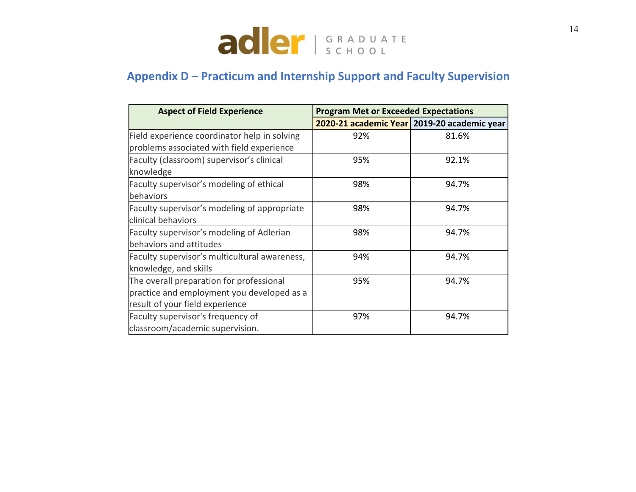

# **Appendix D – Practicum and Internship Support and Faculty Supervision**

| <b>Aspect of Field Experience</b>             | <b>Program Met or Exceeded Expectations</b> |                                             |  |  |  |
|-----------------------------------------------|---------------------------------------------|---------------------------------------------|--|--|--|
|                                               |                                             | 2020-21 academic Year 2019-20 academic year |  |  |  |
| Field experience coordinator help in solving  | 92%                                         | 81.6%                                       |  |  |  |
| problems associated with field experience     |                                             |                                             |  |  |  |
| Faculty (classroom) supervisor's clinical     | 95%                                         | 92.1%                                       |  |  |  |
| knowledge                                     |                                             |                                             |  |  |  |
| Faculty supervisor's modeling of ethical      | 98%                                         | 94.7%                                       |  |  |  |
| behaviors                                     |                                             |                                             |  |  |  |
| Faculty supervisor's modeling of appropriate  | 98%                                         | 94.7%                                       |  |  |  |
| clinical behaviors                            |                                             |                                             |  |  |  |
| Faculty supervisor's modeling of Adlerian     | 98%                                         | 94.7%                                       |  |  |  |
| behaviors and attitudes                       |                                             |                                             |  |  |  |
| Faculty supervisor's multicultural awareness, | 94%                                         | 94.7%                                       |  |  |  |
| knowledge, and skills                         |                                             |                                             |  |  |  |
| The overall preparation for professional      | 95%                                         | 94.7%                                       |  |  |  |
| practice and employment you developed as a    |                                             |                                             |  |  |  |
| result of your field experience               |                                             |                                             |  |  |  |
| Faculty supervisor's frequency of             | 97%                                         | 94.7%                                       |  |  |  |
| classroom/academic supervision.               |                                             |                                             |  |  |  |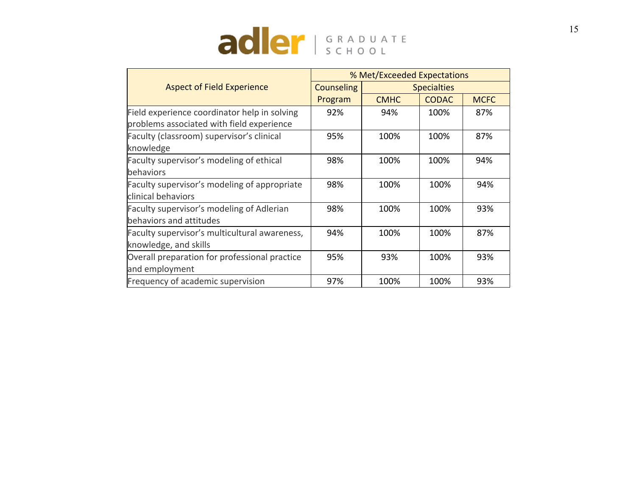

|                                               |                   | % Met/Exceeded Expectations |                    |             |  |  |  |
|-----------------------------------------------|-------------------|-----------------------------|--------------------|-------------|--|--|--|
| <b>Aspect of Field Experience</b>             | <b>Counseling</b> |                             | <b>Specialties</b> |             |  |  |  |
|                                               | Program           | <b>CMHC</b>                 | <b>CODAC</b>       | <b>MCFC</b> |  |  |  |
| Field experience coordinator help in solving  | 92%               | 94%                         | 100%               | 87%         |  |  |  |
| problems associated with field experience     |                   |                             |                    |             |  |  |  |
| Faculty (classroom) supervisor's clinical     | 95%               | 100%                        | 100%               | 87%         |  |  |  |
| knowledge                                     |                   |                             |                    |             |  |  |  |
| Faculty supervisor's modeling of ethical      | 98%               | 100%                        | 100%               | 94%         |  |  |  |
| behaviors                                     |                   |                             |                    |             |  |  |  |
| Faculty supervisor's modeling of appropriate  | 98%               | 100%                        | 100%               | 94%         |  |  |  |
| clinical behaviors                            |                   |                             |                    |             |  |  |  |
| Faculty supervisor's modeling of Adlerian     | 98%               | 100%                        | 100%               | 93%         |  |  |  |
| behaviors and attitudes                       |                   |                             |                    |             |  |  |  |
| Faculty supervisor's multicultural awareness, | 94%               | 100%                        | 100%               | 87%         |  |  |  |
| knowledge, and skills                         |                   |                             |                    |             |  |  |  |
| Overall preparation for professional practice | 95%               | 93%                         | 100%               | 93%         |  |  |  |
| and employment                                |                   |                             |                    |             |  |  |  |
| Frequency of academic supervision             | 97%               | 100%                        | 100%               | 93%         |  |  |  |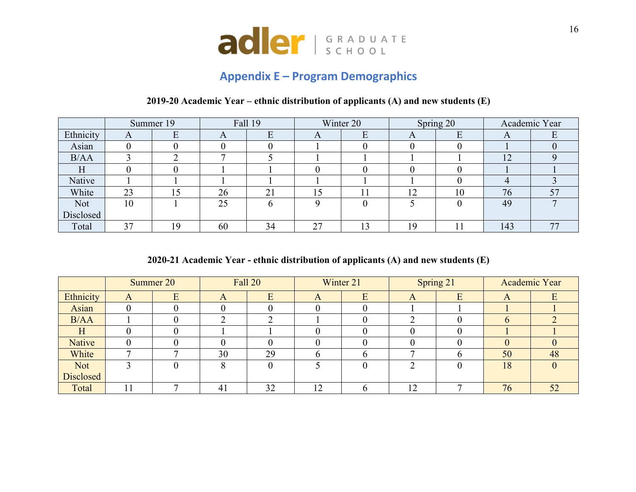

# **Appendix E – Program Demographics**

#### **2019-20 Academic Year – ethnic distribution of applicants (A) and new students (E)**

|           |    | Summer 19 |    | <b>Fall 19</b> |    | Winter 20 |               | Spring 20 |     | Academic Year |
|-----------|----|-----------|----|----------------|----|-----------|---------------|-----------|-----|---------------|
| Ethnicity | A  | Ε         | A  | E              | A  | E         | A             | E         | A   |               |
| Asian     |    |           |    |                |    |           |               |           |     |               |
| B/AA      |    |           |    |                |    |           |               |           | 12  |               |
| H         |    |           |    |                |    |           |               |           |     |               |
| Native    |    |           |    |                |    |           |               |           |     |               |
| White     | 23 | 15        | 26 | 21             | 15 |           | 12<br>$\perp$ | 10        | 76  | 57            |
| Not       | 10 |           | 25 | b              |    |           |               |           | 49  |               |
| Disclosed |    |           |    |                |    |           |               |           |     |               |
| Total     | 37 | 19        | 60 | 34             | 27 | 13        | 19            |           | 143 | 77            |

**2020-21 Academic Year - ethnic distribution of applicants (A) and new students (E)**

|           |   | Summer 20 |                | Fall 20 |          | Winter 21 |    | Spring 21    |                  | Academic Year |
|-----------|---|-----------|----------------|---------|----------|-----------|----|--------------|------------------|---------------|
| Ethnicity | A |           | $\mathbf{A}$   |         | $\Gamma$ | E         |    | E            | $\boldsymbol{A}$ |               |
| Asian     |   |           |                |         |          |           |    |              |                  |               |
| B/AA      |   |           |                | ◠       |          |           |    | $\Omega$     | $\Omega$         |               |
| H         |   |           |                |         |          |           |    | $\Omega$     |                  |               |
| Native    |   |           |                |         |          |           |    | $\theta$     |                  |               |
| White     |   |           | 30             | 29      |          |           |    | <sub>0</sub> | 50               | 48            |
| Not       |   |           |                |         |          |           |    |              | 18               |               |
| Disclosed |   |           |                |         |          |           |    |              |                  |               |
| Total     |   |           | 4 <sup>1</sup> | 32      | 12       |           | 12 |              | 76               | 52            |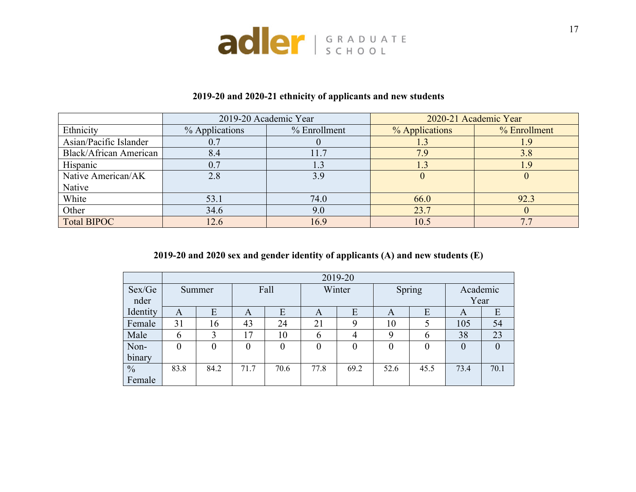

|                               |                | 2019-20 Academic Year | 2020-21 Academic Year |              |  |
|-------------------------------|----------------|-----------------------|-----------------------|--------------|--|
| Ethnicity                     | % Applications | % Enrollment          | % Applications        | % Enrollment |  |
| Asian/Pacific Islander        | 0.7            |                       | 1.3                   |              |  |
| <b>Black/African American</b> | 8.4            |                       | 7.9                   | 3.8          |  |
| Hispanic                      | 0.7            |                       | 1.3                   |              |  |
| Native American/AK            | 2.8            | 3.9                   |                       |              |  |
| Native                        |                |                       |                       |              |  |
| White                         | 53.1           | 74.0                  | 66.0                  | 92.3         |  |
| Other                         | 34.6           | 9.0                   | 23.7                  |              |  |
| <b>Total BIPOC</b>            | 12.6           | 16.9                  | 10.5                  |              |  |

### **2019-20 and 2020-21 ethnicity of applicants and new students**

### **2019-20 and 2020 sex and gender identity of applicants (A) and new students (E)**

|               |               | 2019-20 |                |           |                |                  |        |          |                |                  |  |
|---------------|---------------|---------|----------------|-----------|----------------|------------------|--------|----------|----------------|------------------|--|
| Sex/Ge        | Summer        |         | Fall           |           | Winter         |                  | Spring |          | Academic       |                  |  |
| nder          |               |         |                |           |                |                  |        |          | Year           |                  |  |
| Identity      | A             | E       | A              | E         | A              | E                | A      | E        | A              | E                |  |
| Female        | 31            | 16      | 43             | 24        | 21             | 9                | 10     |          | 105            | 54               |  |
| Male          | $\mathfrak b$ | 3       | 17             | 10        | h              | 4                | Q      | 6        | 38             | 23               |  |
| Non-          | $\theta$      | 0       | $\overline{0}$ | $\pmb{0}$ | $\overline{0}$ | $\boldsymbol{0}$ | 0      | $\theta$ | $\overline{0}$ | $\boldsymbol{0}$ |  |
| binary        |               |         |                |           |                |                  |        |          |                |                  |  |
| $\frac{0}{0}$ | 83.8          | 84.2    | 71.7           | 70.6      | 77.8           | 69.2             | 52.6   | 45.5     | 73.4           | 70.1             |  |
| Female        |               |         |                |           |                |                  |        |          |                |                  |  |